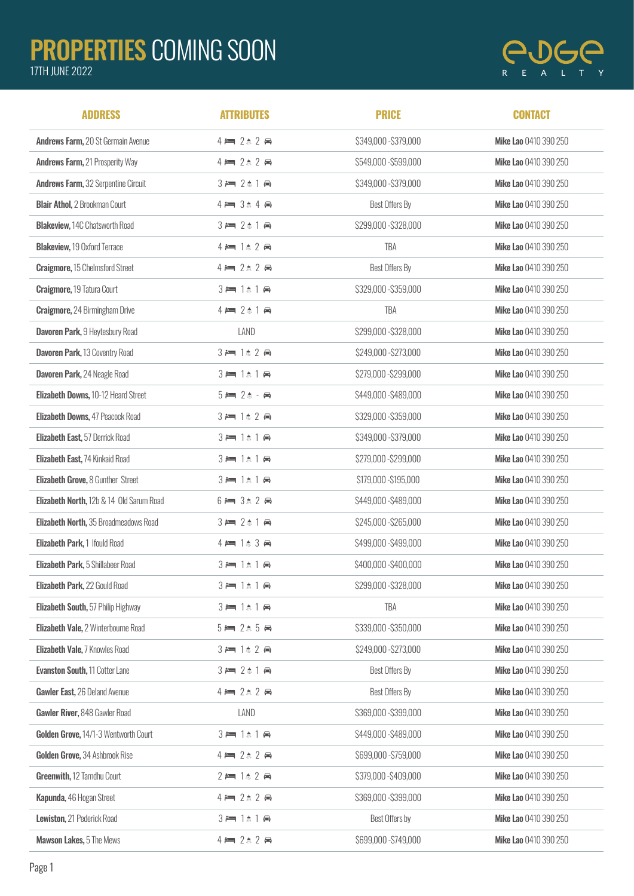## PROPERTIES COMING SOON

## 17TH JUNE 2022



| <b>ADDRESS</b>                             | <b>ATTRIBUTES</b>                                   | <b>PRICE</b>          | <b>CONTACT</b>        |
|--------------------------------------------|-----------------------------------------------------|-----------------------|-----------------------|
| Andrews Farm, 20 St Germain Avenue         | $4 \rightleftharpoons 2 \quad 2 \rightleftharpoons$ | \$349,000 - \$379,000 | Mike Lao 0410 390 250 |
| <b>Andrews Farm, 21 Prosperity Way</b>     | $4 \rightleftharpoons 2 \quad 2 \rightleftharpoons$ | \$549,000 - \$599,000 | Mike Lao 0410 390 250 |
| <b>Andrews Farm, 32 Serpentine Circuit</b> | $3 = 2 \pm 1$                                       | \$349,000 - \$379,000 | Mike Lao 0410 390 250 |
| <b>Blair Athol, 2 Brookman Court</b>       | $4 = 3 + 4 +$                                       | Best Offers By        | Mike Lao 0410 390 250 |
| <b>Blakeview, 14C Chatsworth Road</b>      | $3 = 2 \pm 1$                                       | \$299,000 - \$328,000 | Mike Lao 0410 390 250 |
| <b>Blakeview, 19 Oxford Terrace</b>        | $4 = 1$ $2$ $\oplus$                                | TBA                   | Mike Lao 0410 390 250 |
| <b>Craigmore, 15 Chelmsford Street</b>     | $4 \rightleftharpoons 2 \quad 2 \rightleftharpoons$ | Best Offers By        | Mike Lao 0410 390 250 |
| <b>Craigmore, 19 Tatura Court</b>          | $3 = 1$ $\uparrow$ $\uparrow$ $\uparrow$            | \$329,000 - \$359,000 | Mike Lao 0410 390 250 |
| <b>Craigmore, 24 Birmingham Drive</b>      | $4 = 2 \pm 1$                                       | TBA                   | Mike Lao 0410 390 250 |
| Davoren Park, 9 Heytesbury Road            | LAND                                                | \$299,000 - \$328,000 | Mike Lao 0410 390 250 |
| Davoren Park, 13 Coventry Road             | $3 = 1$ $2$ $\oplus$                                | \$249,000 - \$273,000 | Mike Lao 0410 390 250 |
| Davoren Park, 24 Neagle Road               | $3 = 1$ $\uparrow$ 1 $\uparrow$                     | \$279,000 - \$299,000 | Mike Lao 0410 390 250 |
| Elizabeth Downs, 10-12 Heard Street        | $5 = 2$ $\triangle$ - $\ominus$                     | \$449,000 - \$489,000 | Mike Lao 0410 390 250 |
| Elizabeth Downs, 47 Peacock Road           | $3 = 1$ $2$ $\oplus$                                | \$329,000 - \$359,000 | Mike Lao 0410 390 250 |
| Elizabeth East, 57 Derrick Road            | $3 = 1$ $1 \oplus$                                  | \$349,000 - \$379,000 | Mike Lao 0410 390 250 |
| Elizabeth East, 74 Kinkaid Road            | $3 = 1$ $\uparrow$ $\uparrow$ $\uparrow$            | \$279,000 - \$299,000 | Mike Lao 0410 390 250 |
| <b>Elizabeth Grove, 8 Gunther Street</b>   | $3 = 1$ $\uparrow$ 1 $\uparrow$                     | \$179,000 - \$195,000 | Mike Lao 0410 390 250 |
| Elizabeth North, 12b & 14 Old Sarum Road   | $6 = 3$ $\triangle$ 2 $\ominus$                     | \$449,000 - \$489,000 | Mike Lao 0410 390 250 |
| Elizabeth North, 35 Broadmeadows Road      | $3 = 2 \pm 1$                                       | \$245,000 - \$265,000 | Mike Lao 0410 390 250 |
| Elizabeth Park, 1 Ifould Road              | $4 \equiv 1 \pm 3 \Leftrightarrow$                  | \$499,000 - \$499,000 | Mike Lao 0410 390 250 |
| Elizabeth Park, 5 Shillabeer Road          | $3 = 1$ $\uparrow$ 1 $\uparrow$                     | \$400,000 - \$400,000 | Mike Lao 0410 390 250 |
| Elizabeth Park, 22 Gould Road              | $3 = 1 \pm 1$ A                                     | \$299,000 - \$328,000 | Mike Lao 0410 390 250 |
| Elizabeth South, 57 Philip Highway         | $3 = 1$ $\uparrow$ 1 $\uparrow$                     | TBA                   | Mike Lao 0410 390 250 |
| Elizabeth Vale, 2 Winterbourne Road        | $5 = 2 \pm 5$                                       | \$339,000 - \$350,000 | Mike Lao 0410 390 250 |
| Elizabeth Vale, 7 Knowles Road             | $3 = 1$ $2$ $\ominus$                               | \$249,000 - \$273,000 | Mike Lao 0410 390 250 |
| <b>Evanston South, 11 Cotter Lane</b>      | $3 = 2 \pm 1$                                       | Best Offers By        | Mike Lao 0410 390 250 |
| Gawler East, 26 Deland Avenue              | $4 = 2 \pm 2$                                       | Best Offers By        | Mike Lao 0410 390 250 |
| Gawler River, 848 Gawler Road              | LAND                                                | \$369,000 - \$399,000 | Mike Lao 0410 390 250 |
| Golden Grove, 14/1-3 Wentworth Court       | $3 = 1$ $\pm$ 1 $\oplus$                            | \$449,000 - \$489,000 | Mike Lao 0410 390 250 |
| Golden Grove, 34 Ashbrook Rise             | $4 \rightleftharpoons 2 \qquad 2 \Leftrightarrow$   | \$699,000 - \$759,000 | Mike Lao 0410 390 250 |
| Greenwith, 12 Tamdhu Court                 | $2 = 1$ $2 \oplus$                                  | \$379,000 - \$409,000 | Mike Lao 0410 390 250 |
| Kapunda, 46 Hogan Street                   | $4 = 2 \pm 2$                                       | \$369,000 - \$399,000 | Mike Lao 0410 390 250 |
| Lewiston, 21 Pederick Road                 | $3 = 1$ $\pm$ 1 $\pm$                               | Best Offers by        | Mike Lao 0410 390 250 |
| Mawson Lakes, 5 The Mews                   | $4 = 2 \pm 2$                                       | \$699,000 - \$749,000 | Mike Lao 0410 390 250 |